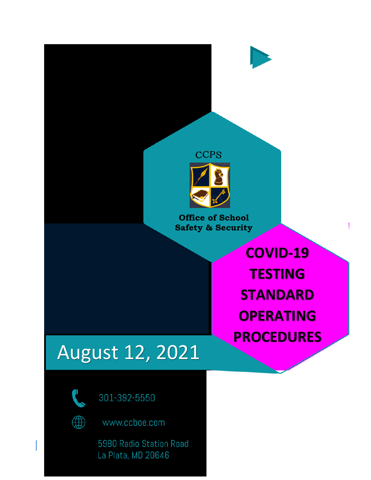



301-392-5550



www.ccboe.com

5980 Radio Station Road<br>La Plata, MD 20646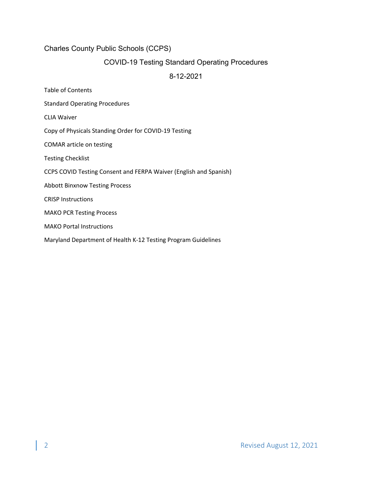#### Charles County Public Schools (CCPS)

### COVID-19 Testing Standard Operating Procedures

#### 8-12-2021

- Table of Contents
- Standard Operating Procedures
- CLIA Waiver
- Copy of Physicals Standing Order for COVID-19 Testing
- COMAR article on testing
- Testing Checklist
- CCPS COVID Testing Consent and FERPA Waiver (English and Spanish)
- Abbott Binxnow Testing Process
- CRISP Instructions
- MAKO PCR Testing Process
- MAKO Portal Instructions
- Maryland Department of Health K-12 Testing Program Guidelines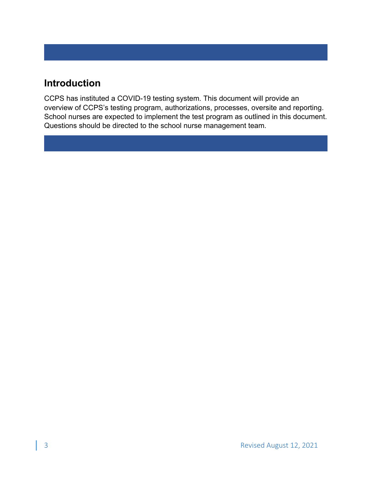# **Introduction**

CCPS has instituted a COVID-19 testing system. This document will provide an overview of CCPS's testing program, authorizations, processes, oversite and reporting. School nurses are expected to implement the test program as outlined in this document. Questions should be directed to the school nurse management team.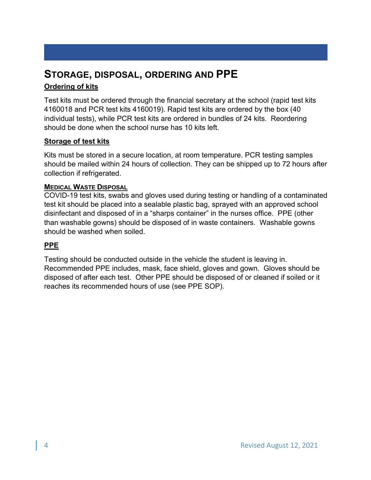# **STORAGE, DISPOSAL, ORDERING AND PPE Ordering of kits**

Test kits must be ordered through the financial secretary at the school (rapid test kits 4160018 and PCR test kits 4160019). Rapid test kits are ordered by the box (40 individual tests), while PCR test kits are ordered in bundles of 24 kits. Reordering should be done when the school nurse has 10 kits left.

## **Storage of test kits**

Kits must be stored in a secure location, at room temperature. PCR testing samples should be mailed within 24 hours of collection. They can be shipped up to 72 hours after collection if refrigerated.

## **MEDICAL WASTE DISPOSAL**

COVID-19 test kits, swabs and gloves used during testing or handling of a contaminated test kit should be placed into a sealable plastic bag, sprayed with an approved school disinfectant and disposed of in a "sharps container" in the nurses office. PPE (other than washable gowns) should be disposed of in waste containers. Washable gowns should be washed when soiled.

## **PPE**

Testing should be conducted outside in the vehicle the student is leaving in. Recommended PPE includes, mask, face shield, gloves and gown. Gloves should be disposed of after each test. Other PPE should be disposed of or cleaned if soiled or it reaches its recommended hours of use (see PPE SOP).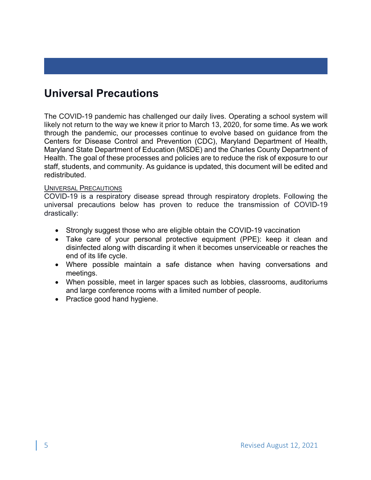# **Universal Precautions**

The COVID-19 pandemic has challenged our daily lives. Operating a school system will likely not return to the way we knew it prior to March 13, 2020, for some time. As we work through the pandemic, our processes continue to evolve based on guidance from the Centers for Disease Control and Prevention (CDC), Maryland Department of Health, Maryland State Department of Education (MSDE) and the Charles County Department of Health. The goal of these processes and policies are to reduce the risk of exposure to our staff, students, and community. As guidance is updated, this document will be edited and redistributed.

#### UNIVERSAL PRECAUTIONS

COVID-19 is a respiratory disease spread through respiratory droplets. Following the universal precautions below has proven to reduce the transmission of COVID-19 drastically:

- Strongly suggest those who are eligible obtain the COVID-19 vaccination
- Take care of your personal protective equipment (PPE): keep it clean and disinfected along with discarding it when it becomes unserviceable or reaches the end of its life cycle.
- Where possible maintain a safe distance when having conversations and meetings.
- When possible, meet in larger spaces such as lobbies, classrooms, auditoriums and large conference rooms with a limited number of people.
- Practice good hand hygiene.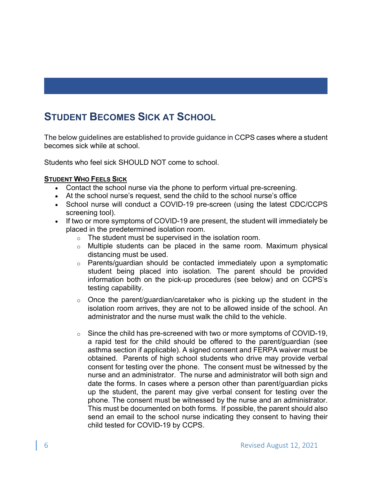# **STUDENT BECOMES SICK AT SCHOOL**

The below guidelines are established to provide guidance in CCPS cases where a student becomes sick while at school.

Students who feel sick SHOULD NOT come to school.

#### **STUDENT WHO FEELS SICK**

- Contact the school nurse via the phone to perform virtual pre-screening.
- At the school nurse's request, send the child to the school nurse's office
- School nurse will conduct a COVID-19 pre-screen (using the latest CDC/CCPS screening tool).
- If two or more symptoms of COVID-19 are present, the student will immediately be placed in the predetermined isolation room.
	- o The student must be supervised in the isolation room.
	- o Multiple students can be placed in the same room. Maximum physical distancing must be used.
	- o Parents/guardian should be contacted immediately upon a symptomatic student being placed into isolation. The parent should be provided information both on the pick-up procedures (see below) and on CCPS's testing capability.
	- o Once the parent/guardian/caretaker who is picking up the student in the isolation room arrives, they are not to be allowed inside of the school. An administrator and the nurse must walk the child to the vehicle.
	- o Since the child has pre-screened with two or more symptoms of COVID-19, a rapid test for the child should be offered to the parent/guardian (see asthma section if applicable). A signed consent and FERPA waiver must be obtained. Parents of high school students who drive may provide verbal consent for testing over the phone. The consent must be witnessed by the nurse and an administrator. The nurse and administrator will both sign and date the forms. In cases where a person other than parent/guardian picks up the student, the parent may give verbal consent for testing over the phone. The consent must be witnessed by the nurse and an administrator. This must be documented on both forms. If possible, the parent should also send an email to the school nurse indicating they consent to having their child tested for COVID-19 by CCPS.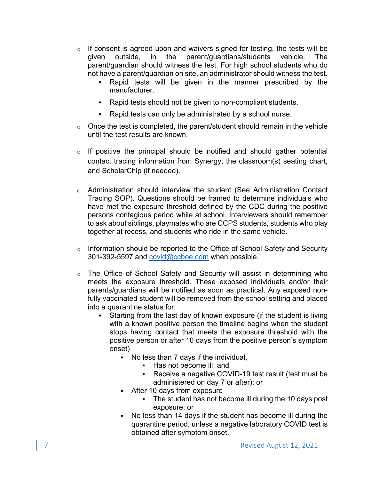- $\circ$  If consent is agreed upon and waivers signed for testing, the tests will be given outside, in the parent/guardians/students vehicle. The parent/guardian should witness the test. For high school students who do not have a parent/guardian on site, an administrator should witness the test.
	- Rapid tests will be given in the manner prescribed by the manufacturer.
	- Rapid tests should not be given to non-compliant students.
	- Rapid tests can only be administrated by a school nurse.
- $\circ$  Once the test is completed, the parent/student should remain in the vehicle until the test results are known.
- $\circ$  If positive the principal should be notified and should gather potential contact tracing information from Synergy, the classroom(s) seating chart, and ScholarChip (if needed).
- o Administration should interview the student (See Administration Contact Tracing SOP). Questions should be framed to determine individuals who have met the exposure threshold defined by the CDC during the positive persons contagious period while at school. Interviewers should remember to ask about siblings, playmates who are CCPS students, students who play together at recess, and students who ride in the same vehicle.
- o Information should be reported to the Office of School Safety and Security 301-392-5597 and covid@ccboe.com when possible.
- o The Office of School Safety and Security will assist in determining who meets the exposure threshold. These exposed individuals and/or their parents/guardians will be notified as soon as practical. Any exposed nonfully vaccinated student will be removed from the school setting and placed into a quarantine status for:
	- § Starting from the last day of known exposure (if the student is living with a known positive person the timeline begins when the student stops having contact that meets the exposure threshold with the positive person or after 10 days from the positive person's symptom onset)
		- § No less than 7 days if the individual,
			- Has not become ill; and
			- Receive a negative COVID-19 test result (test must be administered on day 7 or after); or
		- After 10 days from exposure
			- § The student has not become ill during the 10 days post exposure; or
		- No less than 14 days if the student has become ill during the quarantine period, unless a negative laboratory COVID test is obtained after symptom onset.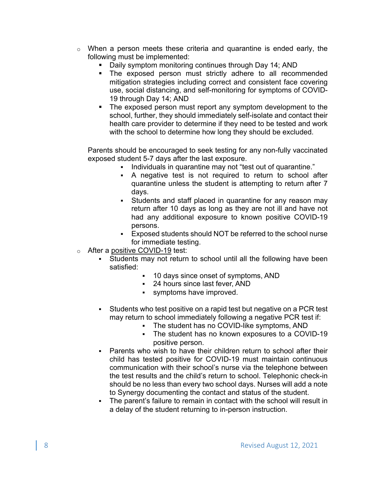- o When a person meets these criteria and quarantine is ended early, the following must be implemented:
	- Daily symptom monitoring continues through Day 14; AND
	- § The exposed person must strictly adhere to all recommended mitigation strategies including correct and consistent face covering use, social distancing, and self-monitoring for symptoms of COVID-19 through Day 14; AND
	- The exposed person must report any symptom development to the school, further, they should immediately self-isolate and contact their health care provider to determine if they need to be tested and work with the school to determine how long they should be excluded.

Parents should be encouraged to seek testing for any non-fully vaccinated exposed student 5-7 days after the last exposure.

- Individuals in quarantine may not "test out of quarantine."
- § A negative test is not required to return to school after quarantine unless the student is attempting to return after 7 days.
- Students and staff placed in quarantine for any reason may return after 10 days as long as they are not ill and have not had any additional exposure to known positive COVID-19 persons.
- § Exposed students should NOT be referred to the school nurse for immediate testing.
- o After a positive COVID-19 test:
	- § Students may not return to school until all the following have been satisfied:
		- § 10 days since onset of symptoms, AND
		- § 24 hours since last fever, AND
		- § symptoms have improved.
	- Students who test positive on a rapid test but negative on a PCR test may return to school immediately following a negative PCR test if:
		- The student has no COVID-like symptoms, AND
		- The student has no known exposures to a COVID-19 positive person.
	- Parents who wish to have their children return to school after their child has tested positive for COVID-19 must maintain continuous communication with their school's nurse via the telephone between the test results and the child's return to school. Telephonic check-in should be no less than every two school days. Nurses will add a note to Synergy documenting the contact and status of the student.
	- § The parent's failure to remain in contact with the school will result in a delay of the student returning to in-person instruction.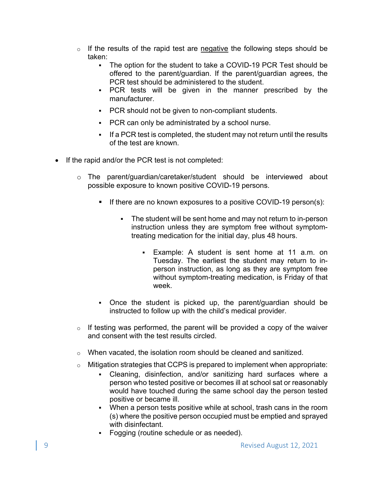- $\circ$  If the results of the rapid test are negative the following steps should be taken:
	- The option for the student to take a COVID-19 PCR Test should be offered to the parent/guardian. If the parent/guardian agrees, the PCR test should be administered to the student.
	- § PCR tests will be given in the manner prescribed by the manufacturer.
	- PCR should not be given to non-compliant students.
	- PCR can only be administrated by a school nurse.
	- § If a PCR test is completed, the student may not return until the results of the test are known.
- If the rapid and/or the PCR test is not completed:
	- o The parent/guardian/caretaker/student should be interviewed about possible exposure to known positive COVID-19 persons.
		- If there are no known exposures to a positive COVID-19 person(s):
			- The student will be sent home and may not return to in-person instruction unless they are symptom free without symptomtreating medication for the initial day, plus 48 hours.
				- Example: A student is sent home at 11 a.m. on Tuesday. The earliest the student may return to inperson instruction, as long as they are symptom free without symptom-treating medication, is Friday of that week.
		- Once the student is picked up, the parent/guardian should be instructed to follow up with the child's medical provider.
	- $\circ$  If testing was performed, the parent will be provided a copy of the waiver and consent with the test results circled.
	- $\circ$  When vacated, the isolation room should be cleaned and sanitized.
	- o Mitigation strategies that CCPS is prepared to implement when appropriate:
		- Cleaning, disinfection, and/or sanitizing hard surfaces where a person who tested positive or becomes ill at school sat or reasonably would have touched during the same school day the person tested positive or became ill.
		- When a person tests positive while at school, trash cans in the room (s) where the positive person occupied must be emptied and sprayed with disinfectant.
		- Fogging (routine schedule or as needed).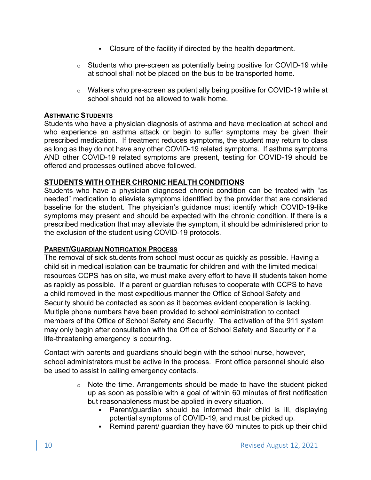- Closure of the facility if directed by the health department.
- $\circ$  Students who pre-screen as potentially being positive for COVID-19 while at school shall not be placed on the bus to be transported home.
- o Walkers who pre-screen as potentially being positive for COVID-19 while at school should not be allowed to walk home.

### **ASTHMATIC STUDENTS**

Students who have a physician diagnosis of asthma and have medication at school and who experience an asthma attack or begin to suffer symptoms may be given their prescribed medication. If treatment reduces symptoms, the student may return to class as long as they do not have any other COVID-19 related symptoms. If asthma symptoms AND other COVID-19 related symptoms are present, testing for COVID-19 should be offered and processes outlined above followed.

## **STUDENTS WITH OTHER CHRONIC HEALTH CONDITIONS**

Students who have a physician diagnosed chronic condition can be treated with "as needed" medication to alleviate symptoms identified by the provider that are considered baseline for the student. The physician's guidance must identify which COVID-19-like symptoms may present and should be expected with the chronic condition. If there is a prescribed medication that may alleviate the symptom, it should be administered prior to the exclusion of the student using COVID-19 protocols.

## **PARENT/GUARDIAN NOTIFICATION PROCESS**

The removal of sick students from school must occur as quickly as possible. Having a child sit in medical isolation can be traumatic for children and with the limited medical resources CCPS has on site, we must make every effort to have ill students taken home as rapidly as possible. If a parent or guardian refuses to cooperate with CCPS to have a child removed in the most expeditious manner the Office of School Safety and Security should be contacted as soon as it becomes evident cooperation is lacking. Multiple phone numbers have been provided to school administration to contact members of the Office of School Safety and Security. The activation of the 911 system may only begin after consultation with the Office of School Safety and Security or if a life-threatening emergency is occurring.

Contact with parents and guardians should begin with the school nurse, however, school administrators must be active in the process. Front office personnel should also be used to assist in calling emergency contacts.

- o Note the time. Arrangements should be made to have the student picked up as soon as possible with a goal of within 60 minutes of first notification but reasonableness must be applied in every situation.
	- § Parent/guardian should be informed their child is ill, displaying potential symptoms of COVID-19, and must be picked up.
	- Remind parent/ guardian they have 60 minutes to pick up their child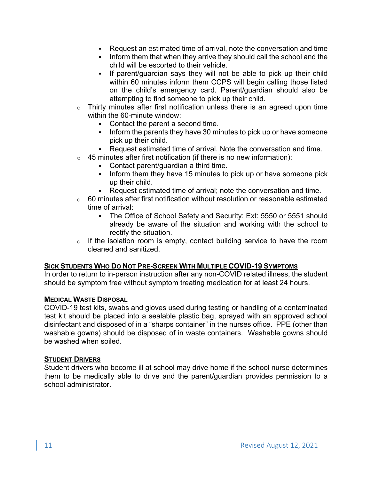- § Request an estimated time of arrival, note the conversation and time
- Inform them that when they arrive they should call the school and the child will be escorted to their vehicle.
- If parent/guardian says they will not be able to pick up their child within 60 minutes inform them CCPS will begin calling those listed on the child's emergency card. Parent/guardian should also be attempting to find someone to pick up their child.
- o Thirty minutes after first notification unless there is an agreed upon time within the 60-minute window:
	- Contact the parent a second time.
	- Inform the parents they have 30 minutes to pick up or have someone pick up their child.
	- Request estimated time of arrival. Note the conversation and time.
- $\circ$  45 minutes after first notification (if there is no new information):
	- Contact parent/guardian a third time.
	- Inform them they have 15 minutes to pick up or have someone pick up their child.
	- Request estimated time of arrival; note the conversation and time.
- $\circ$  60 minutes after first notification without resolution or reasonable estimated time of arrival:
	- The Office of School Safety and Security: Ext: 5550 or 5551 should already be aware of the situation and working with the school to rectify the situation.
- $\circ$  If the isolation room is empty, contact building service to have the room cleaned and sanitized.

#### **SICK STUDENTS WHO DO NOT PRE-SCREEN WITH MULTIPLE COVID-19 SYMPTOMS**

In order to return to in-person instruction after any non-COVID related illness, the student should be symptom free without symptom treating medication for at least 24 hours.

#### **MEDICAL WASTE DISPOSAL**

COVID-19 test kits, swabs and gloves used during testing or handling of a contaminated test kit should be placed into a sealable plastic bag, sprayed with an approved school disinfectant and disposed of in a "sharps container" in the nurses office. PPE (other than washable gowns) should be disposed of in waste containers. Washable gowns should be washed when soiled.

#### **STUDENT DRIVERS**

Student drivers who become ill at school may drive home if the school nurse determines them to be medically able to drive and the parent/guardian provides permission to a school administrator.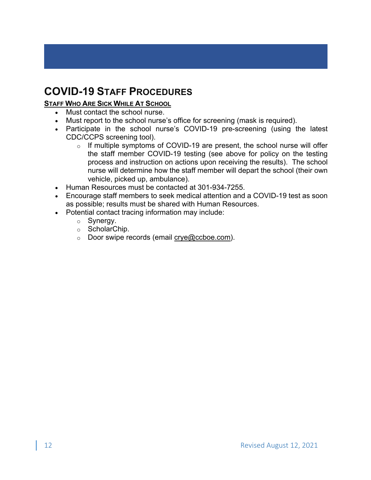# **COVID-19 STAFF PROCEDURES**

# **STAFF WHO ARE SICK WHILE AT SCHOOL**

- Must contact the school nurse.
- Must report to the school nurse's office for screening (mask is required).
- Participate in the school nurse's COVID-19 pre-screening (using the latest CDC/CCPS screening tool).
	- o If multiple symptoms of COVID-19 are present, the school nurse will offer the staff member COVID-19 testing (see above for policy on the testing process and instruction on actions upon receiving the results). The school nurse will determine how the staff member will depart the school (their own vehicle, picked up, ambulance).
- Human Resources must be contacted at 301-934-7255.
- Encourage staff members to seek medical attention and a COVID-19 test as soon as possible; results must be shared with Human Resources.
- Potential contact tracing information may include:
	- o Synergy.
	- o ScholarChip.
	- o Door swipe records (email crye@ccboe.com).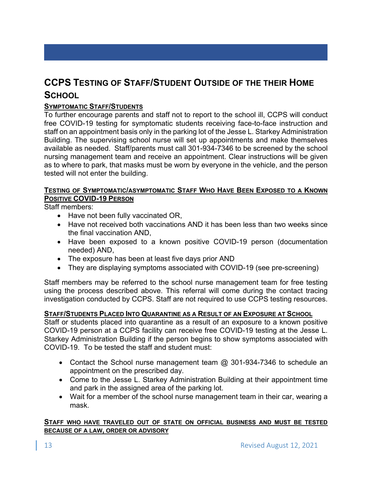# **CCPS TESTING OF STAFF/STUDENT OUTSIDE OF THE THEIR HOME SCHOOL**

# **SYMPTOMATIC STAFF/STUDENTS**

To further encourage parents and staff not to report to the school ill, CCPS will conduct free COVID-19 testing for symptomatic students receiving face-to-face instruction and staff on an appointment basis only in the parking lot of the Jesse L. Starkey Administration Building. The supervising school nurse will set up appointments and make themselves available as needed. Staff/parents must call 301-934-7346 to be screened by the school nursing management team and receive an appointment. Clear instructions will be given as to where to park, that masks must be worn by everyone in the vehicle, and the person tested will not enter the building.

#### **TESTING OF SYMPTOMATIC/ASYMPTOMATIC STAFF WHO HAVE BEEN EXPOSED TO A KNOWN POSITIVE COVID-19 PERSON**

Staff members:

- Have not been fully vaccinated OR,
- Have not received both vaccinations AND it has been less than two weeks since the final vaccination AND,
- Have been exposed to a known positive COVID-19 person (documentation needed) AND,
- The exposure has been at least five days prior AND
- They are displaying symptoms associated with COVID-19 (see pre-screening)

Staff members may be referred to the school nurse management team for free testing using the process described above. This referral will come during the contact tracing investigation conducted by CCPS. Staff are not required to use CCPS testing resources.

#### **STAFF/STUDENTS PLACED INTO QUARANTINE AS A RESULT OF AN EXPOSURE AT SCHOOL**

Staff or students placed into quarantine as a result of an exposure to a known positive COVID-19 person at a CCPS facility can receive free COVID-19 testing at the Jesse L. Starkey Administration Building if the person begins to show symptoms associated with COVID-19. To be tested the staff and student must:

- Contact the School nurse management team @ 301-934-7346 to schedule an appointment on the prescribed day.
- Come to the Jesse L. Starkey Administration Building at their appointment time and park in the assigned area of the parking lot.
- Wait for a member of the school nurse management team in their car, wearing a mask.

#### **STAFF WHO HAVE TRAVELED OUT OF STATE ON OFFICIAL BUSINESS AND MUST BE TESTED BECAUSE OF A LAW, ORDER OR ADVISORY**